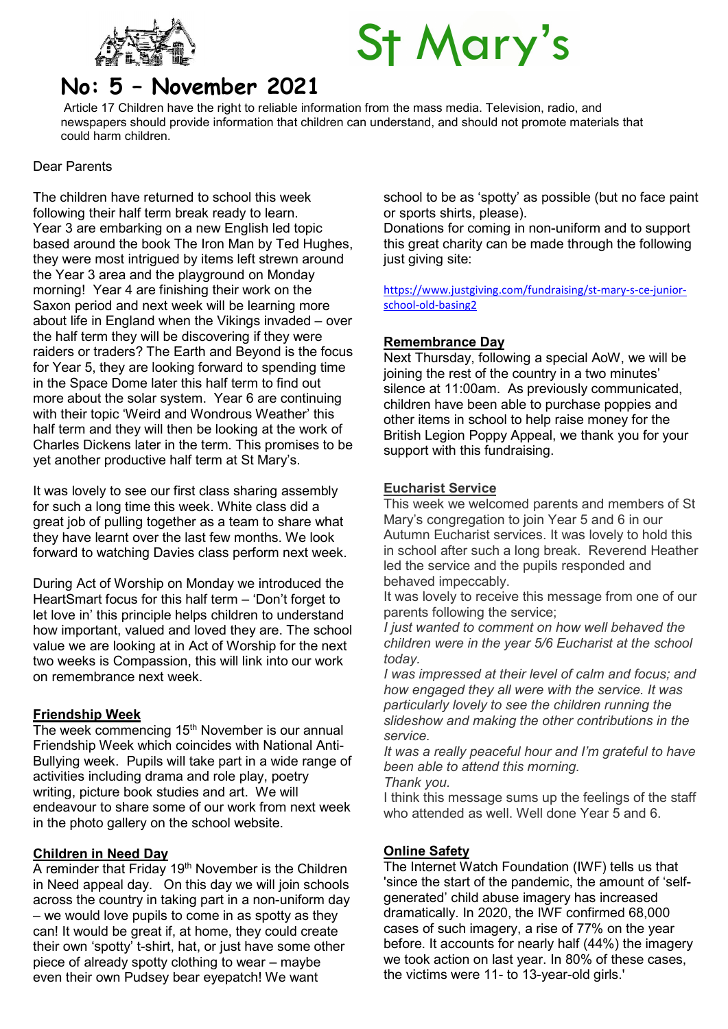

# **St Mary's**

# No: 5 – November 2021

Article 17 Children have the right to reliable information from the mass media. Television, radio, and newspapers should provide information that children can understand, and should not promote materials that could harm children.

#### Dear Parents

The children have returned to school this week following their half term break ready to learn. Year 3 are embarking on a new English led topic based around the book The Iron Man by Ted Hughes, they were most intrigued by items left strewn around the Year 3 area and the playground on Monday morning! Year 4 are finishing their work on the Saxon period and next week will be learning more about life in England when the Vikings invaded – over the half term they will be discovering if they were raiders or traders? The Earth and Beyond is the focus for Year 5, they are looking forward to spending time in the Space Dome later this half term to find out more about the solar system. Year 6 are continuing with their topic 'Weird and Wondrous Weather' this half term and they will then be looking at the work of Charles Dickens later in the term. This promises to be yet another productive half term at St Mary's.

It was lovely to see our first class sharing assembly for such a long time this week. White class did a great job of pulling together as a team to share what they have learnt over the last few months. We look forward to watching Davies class perform next week.

During Act of Worship on Monday we introduced the HeartSmart focus for this half term – 'Don't forget to let love in' this principle helps children to understand how important, valued and loved they are. The school value we are looking at in Act of Worship for the next two weeks is Compassion, this will link into our work on remembrance next week.

# Friendship Week

The week commencing  $15<sup>th</sup>$  November is our annual Friendship Week which coincides with National Anti-Bullying week. Pupils will take part in a wide range of activities including drama and role play, poetry writing, picture book studies and art. We will endeavour to share some of our work from next week in the photo gallery on the school website.

# Children in Need Day

A reminder that Friday  $19<sup>th</sup>$  November is the Children in Need appeal day. On this day we will join schools across the country in taking part in a non-uniform day – we would love pupils to come in as spotty as they can! It would be great if, at home, they could create their own 'spotty' t-shirt, hat, or just have some other piece of already spotty clothing to wear – maybe even their own Pudsey bear eyepatch! We want

school to be as 'spotty' as possible (but no face paint or sports shirts, please).

Donations for coming in non-uniform and to support this great charity can be made through the following just giving site:

https://www.justgiving.com/fundraising/st-mary-s-ce-juniorschool-old-basing2

## Remembrance Day

Next Thursday, following a special AoW, we will be joining the rest of the country in a two minutes' silence at 11:00am. As previously communicated, children have been able to purchase poppies and other items in school to help raise money for the British Legion Poppy Appeal, we thank you for your support with this fundraising.

## Eucharist Service

This week we welcomed parents and members of St Mary's congregation to join Year 5 and 6 in our Autumn Eucharist services. It was lovely to hold this in school after such a long break. Reverend Heather led the service and the pupils responded and behaved impeccably.

It was lovely to receive this message from one of our parents following the service;

I just wanted to comment on how well behaved the children were in the year 5/6 Eucharist at the school today.

I was impressed at their level of calm and focus; and how engaged they all were with the service. It was particularly lovely to see the children running the slideshow and making the other contributions in the service.

It was a really peaceful hour and I'm grateful to have been able to attend this morning.

Thank you.

I think this message sums up the feelings of the staff who attended as well. Well done Year 5 and 6.

# Online Safety

The Internet Watch Foundation (IWF) tells us that 'since the start of the pandemic, the amount of 'selfgenerated' child abuse imagery has increased dramatically. In 2020, the IWF confirmed 68,000 cases of such imagery, a rise of 77% on the year before. It accounts for nearly half (44%) the imagery we took action on last year. In 80% of these cases, the victims were 11- to 13-year-old girls.'